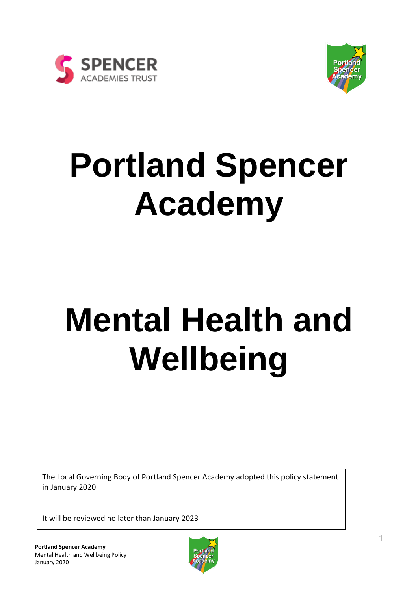



## **Portland Spencer Academy**

# **Mental Health and Wellbeing**

The Local Governing Body of Portland Spencer Academy adopted this policy statement in January 2020

It will be reviewed no later than January 2023

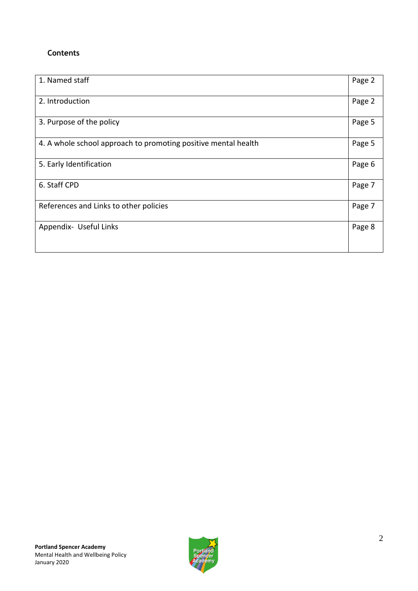### **Contents**

| 1. Named staff                                                 | Page 2 |
|----------------------------------------------------------------|--------|
| 2. Introduction                                                | Page 2 |
| 3. Purpose of the policy                                       | Page 5 |
| 4. A whole school approach to promoting positive mental health | Page 5 |
| 5. Early Identification                                        | Page 6 |
| 6. Staff CPD                                                   | Page 7 |
| References and Links to other policies                         | Page 7 |
| Appendix- Useful Links                                         | Page 8 |

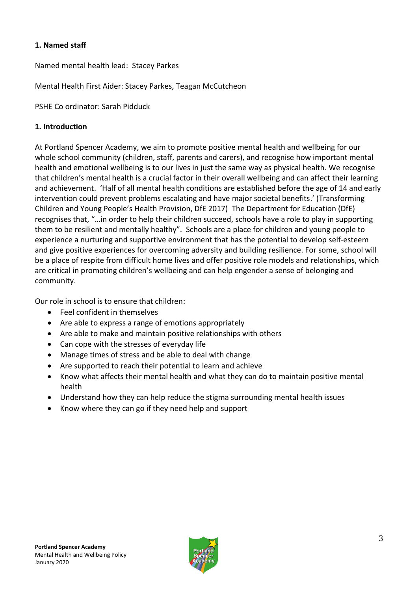#### **1. Named staff**

Named mental health lead: Stacey Parkes

Mental Health First Aider: Stacey Parkes, Teagan McCutcheon

PSHE Co ordinator: Sarah Pidduck

#### **1. Introduction**

At Portland Spencer Academy, we aim to promote positive mental health and wellbeing for our whole school community (children, staff, parents and carers), and recognise how important mental health and emotional wellbeing is to our lives in just the same way as physical health. We recognise that children's mental health is a crucial factor in their overall wellbeing and can affect their learning and achievement. 'Half of all mental health conditions are established before the age of 14 and early intervention could prevent problems escalating and have major societal benefits.' (Transforming Children and Young People's Health Provision, DfE 2017) The Department for Education (DfE) recognises that, "…in order to help their children succeed, schools have a role to play in supporting them to be resilient and mentally healthy". Schools are a place for children and young people to experience a nurturing and supportive environment that has the potential to develop self-esteem and give positive experiences for overcoming adversity and building resilience. For some, school will be a place of respite from difficult home lives and offer positive role models and relationships, which are critical in promoting children's wellbeing and can help engender a sense of belonging and community.

Our role in school is to ensure that children:

- Feel confident in themselves
- Are able to express a range of emotions appropriately
- Are able to make and maintain positive relationships with others
- Can cope with the stresses of everyday life
- Manage times of stress and be able to deal with change
- Are supported to reach their potential to learn and achieve
- Know what affects their mental health and what they can do to maintain positive mental health
- Understand how they can help reduce the stigma surrounding mental health issues
- Know where they can go if they need help and support

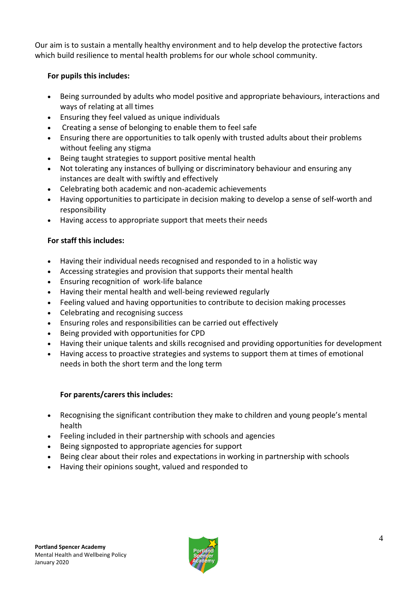Our aim is to sustain a mentally healthy environment and to help develop the protective factors which build resilience to mental health problems for our whole school community.

#### **For pupils this includes:**

- Being surrounded by adults who model positive and appropriate behaviours, interactions and ways of relating at all times
- Ensuring they feel valued as unique individuals
- Creating a sense of belonging to enable them to feel safe
- Ensuring there are opportunities to talk openly with trusted adults about their problems without feeling any stigma
- Being taught strategies to support positive mental health
- Not tolerating any instances of bullying or discriminatory behaviour and ensuring any instances are dealt with swiftly and effectively
- Celebrating both academic and non-academic achievements
- Having opportunities to participate in decision making to develop a sense of self-worth and responsibility
- Having access to appropriate support that meets their needs

## **For staff this includes:**

- Having their individual needs recognised and responded to in a holistic way
- Accessing strategies and provision that supports their mental health
- Ensuring recognition of work-life balance
- Having their mental health and well-being reviewed regularly
- Feeling valued and having opportunities to contribute to decision making processes
- Celebrating and recognising success
- Ensuring roles and responsibilities can be carried out effectively
- Being provided with opportunities for CPD
- Having their unique talents and skills recognised and providing opportunities for development
- Having access to proactive strategies and systems to support them at times of emotional needs in both the short term and the long term

#### **For parents/carers this includes:**

- Recognising the significant contribution they make to children and young people's mental health
- Feeling included in their partnership with schools and agencies
- Being signposted to appropriate agencies for support
- Being clear about their roles and expectations in working in partnership with schools
- Having their opinions sought, valued and responded to

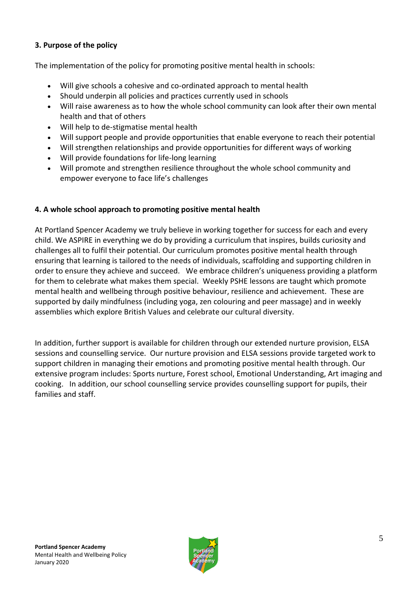#### **3. Purpose of the policy**

The implementation of the policy for promoting positive mental health in schools:

- Will give schools a cohesive and co-ordinated approach to mental health
- Should underpin all policies and practices currently used in schools
- Will raise awareness as to how the whole school community can look after their own mental health and that of others
- Will help to de-stigmatise mental health
- Will support people and provide opportunities that enable everyone to reach their potential
- Will strengthen relationships and provide opportunities for different ways of working
- Will provide foundations for life-long learning
- Will promote and strengthen resilience throughout the whole school community and empower everyone to face life's challenges

#### **4. A whole school approach to promoting positive mental health**

At Portland Spencer Academy we truly believe in working together for success for each and every child. We ASPIRE in everything we do by providing a curriculum that inspires, builds curiosity and challenges all to fulfil their potential. Our curriculum promotes positive mental health through ensuring that learning is tailored to the needs of individuals, scaffolding and supporting children in order to ensure they achieve and succeed. We embrace children's uniqueness providing a platform for them to celebrate what makes them special. Weekly PSHE lessons are taught which promote mental health and wellbeing through positive behaviour, resilience and achievement. These are supported by daily mindfulness (including yoga, zen colouring and peer massage) and in weekly assemblies which explore British Values and celebrate our cultural diversity.

In addition, further support is available for children through our extended nurture provision, ELSA sessions and counselling service. Our nurture provision and ELSA sessions provide targeted work to support children in managing their emotions and promoting positive mental health through. Our extensive program includes: Sports nurture, Forest school, Emotional Understanding, Art imaging and cooking. In addition, our school counselling service provides counselling support for pupils, their families and staff.

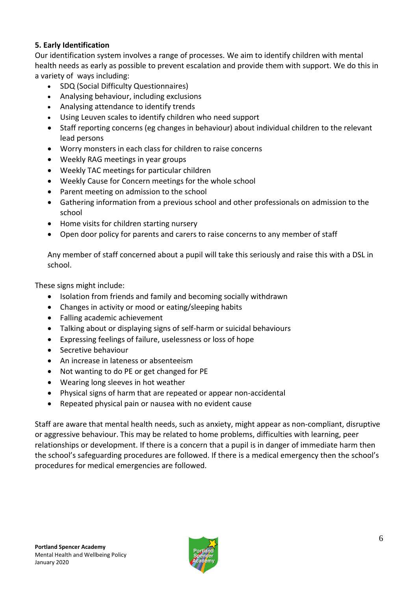#### **5. Early Identification**

Our identification system involves a range of processes. We aim to identify children with mental health needs as early as possible to prevent escalation and provide them with support. We do this in a variety of ways including:

- SDQ (Social Difficulty Questionnaires)
- Analysing behaviour, including exclusions
- Analysing attendance to identify trends
- Using Leuven scales to identify children who need support
- Staff reporting concerns (eg changes in behaviour) about individual children to the relevant lead persons
- Worry monsters in each class for children to raise concerns
- Weekly RAG meetings in year groups
- Weekly TAC meetings for particular children
- Weekly Cause for Concern meetings for the whole school
- Parent meeting on admission to the school
- Gathering information from a previous school and other professionals on admission to the school
- Home visits for children starting nursery
- Open door policy for parents and carers to raise concerns to any member of staff

Any member of staff concerned about a pupil will take this seriously and raise this with a DSL in school.

These signs might include:

- Isolation from friends and family and becoming socially withdrawn
- Changes in activity or mood or eating/sleeping habits
- Falling academic achievement
- Talking about or displaying signs of self-harm or suicidal behaviours
- Expressing feelings of failure, uselessness or loss of hope
- Secretive behaviour
- An increase in lateness or absenteeism
- Not wanting to do PE or get changed for PE
- Wearing long sleeves in hot weather
- Physical signs of harm that are repeated or appear non-accidental
- Repeated physical pain or nausea with no evident cause

Staff are aware that mental health needs, such as anxiety, might appear as non-compliant, disruptive or aggressive behaviour. This may be related to home problems, difficulties with learning, peer relationships or development. If there is a concern that a pupil is in danger of immediate harm then the school's safeguarding procedures are followed. If there is a medical emergency then the school's procedures for medical emergencies are followed.

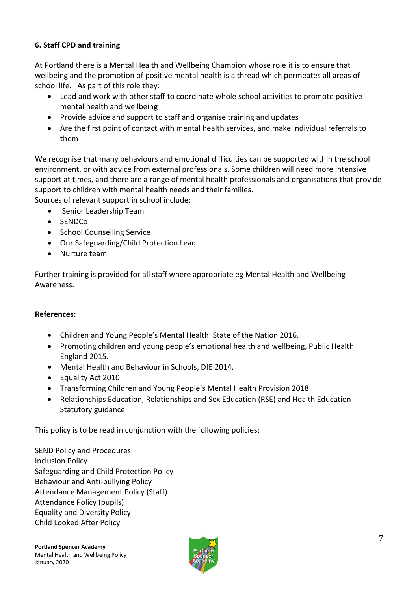#### **6. Staff CPD and training**

At Portland there is a Mental Health and Wellbeing Champion whose role it is to ensure that wellbeing and the promotion of positive mental health is a thread which permeates all areas of school life. As part of this role they:

- Lead and work with other staff to coordinate whole school activities to promote positive mental health and wellbeing
- Provide advice and support to staff and organise training and updates
- Are the first point of contact with mental health services, and make individual referrals to them

We recognise that many behaviours and emotional difficulties can be supported within the school environment, or with advice from external professionals. Some children will need more intensive support at times, and there are a range of mental health professionals and organisations that provide support to children with mental health needs and their families.

Sources of relevant support in school include:

- Senior Leadership Team
- SENDCo
- School Counselling Service
- Our Safeguarding/Child Protection Lead
- Nurture team

Further training is provided for all staff where appropriate eg Mental Health and Wellbeing Awareness.

#### **References:**

- Children and Young People's Mental Health: State of the Nation 2016.
- Promoting children and young people's emotional health and wellbeing, Public Health England 2015.
- Mental Health and Behaviour in Schools, DfE 2014.
- Equality Act 2010
- Transforming Children and Young People's Mental Health Provision 2018
- Relationships Education, Relationships and Sex Education (RSE) and Health Education Statutory guidance

This policy is to be read in conjunction with the following policies:

SEND Policy and Procedures Inclusion Policy Safeguarding and Child Protection Policy Behaviour and Anti-bullying Policy Attendance Management Policy (Staff) Attendance Policy (pupils) Equality and Diversity Policy Child Looked After Policy